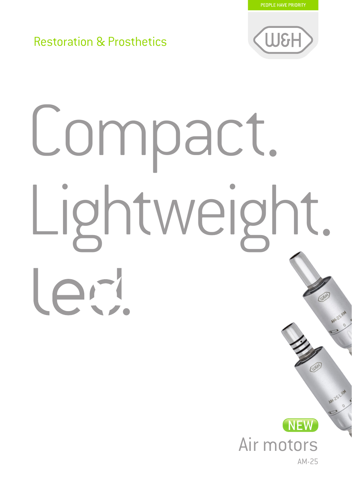PEOPLE HAVE PRIORITY

## Restoration & Prosthetics



# Compact. Lightweight.  $\overline{\phantom{a}}$ led